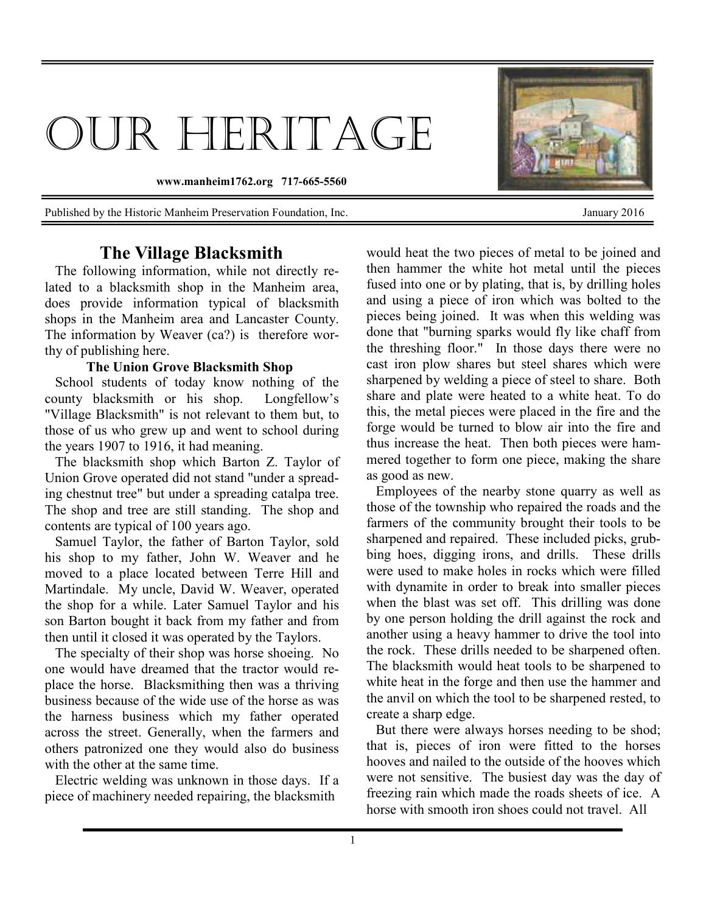## OUR HERITAGE

**www.manheim1762.org 717-665-5560** 

Published by the Historic Manheim Preservation Foundation, Inc. January 2016

## **The Village Blacksmith**

 The following information, while not directly related to a blacksmith shop in the Manheim area, does provide information typical of blacksmith shops in the Manheim area and Lancaster County. The information by Weaver (ca?) is therefore worthy of publishing here.

## **The Union Grove Blacksmith Shop**

 School students of today know nothing of the county blacksmith or his shop. Longfellow's "Village Blacksmith" is not relevant to them but, to those of us who grew up and went to school during the years 1907 to 1916, it had meaning.

 The blacksmith shop which Barton Z. Taylor of Union Grove operated did not stand "under a spreading chestnut tree" but under a spreading catalpa tree. The shop and tree are still standing. The shop and contents are typical of 100 years ago.

 Samuel Taylor, the father of Barton Taylor, sold his shop to my father, John W. Weaver and he moved to a place located between Terre Hill and Martindale. My uncle, David W. Weaver, operated the shop for a while. Later Samuel Taylor and his son Barton bought it back from my father and from then until it closed it was operated by the Taylors.

 The specialty of their shop was horse shoeing. No one would have dreamed that the tractor would replace the horse. Blacksmithing then was a thriving business because of the wide use of the horse as was the harness business which my father operated across the street. Generally, when the farmers and others patronized one they would also do business with the other at the same time.

 Electric welding was unknown in those days. If a piece of machinery needed repairing, the blacksmith

would heat the two pieces of metal to be joined and then hammer the white hot metal until the pieces fused into one or by plating, that is, by drilling holes and using a piece of iron which was bolted to the pieces being joined. It was when this welding was done that "burning sparks would fly like chaff from the threshing floor." In those days there were no cast iron plow shares but steel shares which were sharpened by welding a piece of steel to share. Both share and plate were heated to a white heat. To do this, the metal pieces were placed in the fire and the forge would be turned to blow air into the fire and thus increase the heat. Then both pieces were hammered together to form one piece, making the share as good as new.

 Employees of the nearby stone quarry as well as those of the township who repaired the roads and the farmers of the community brought their tools to be sharpened and repaired. These included picks, grubbing hoes, digging irons, and drills. These drills were used to make holes in rocks which were filled with dynamite in order to break into smaller pieces when the blast was set off. This drilling was done by one person holding the drill against the rock and another using a heavy hammer to drive the tool into the rock. These drills needed to be sharpened often. The blacksmith would heat tools to be sharpened to white heat in the forge and then use the hammer and the anvil on which the tool to be sharpened rested, to create a sharp edge.

 But there were always horses needing to be shod; that is, pieces of iron were fitted to the horses hooves and nailed to the outside of the hooves which were not sensitive. The busiest day was the day of freezing rain which made the roads sheets of ice. A horse with smooth iron shoes could not travel. All